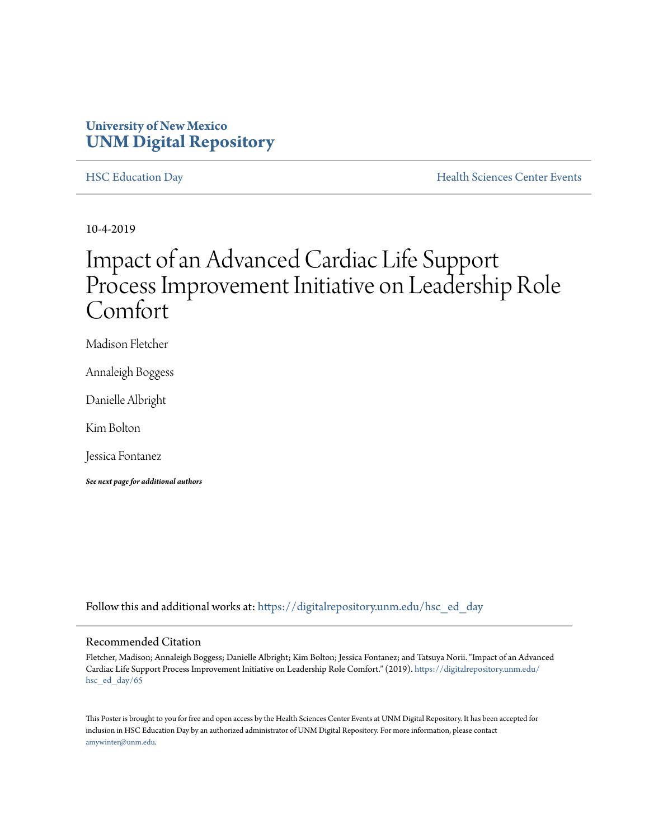### **University of New Mexico [UNM Digital Repository](https://digitalrepository.unm.edu/?utm_source=digitalrepository.unm.edu%2Fhsc_ed_day%2F65&utm_medium=PDF&utm_campaign=PDFCoverPages)**

[HSC Education Day](https://digitalrepository.unm.edu/hsc_ed_day?utm_source=digitalrepository.unm.edu%2Fhsc_ed_day%2F65&utm_medium=PDF&utm_campaign=PDFCoverPages) **[Health Sciences Center Events](https://digitalrepository.unm.edu/hsc_events?utm_source=digitalrepository.unm.edu%2Fhsc_ed_day%2F65&utm_medium=PDF&utm_campaign=PDFCoverPages)** 

10-4-2019

### Impact of an Advanced Cardiac Life Support Process Improvement Initiative on Leadership Role Comfort

Madison Fletcher

Annaleigh Boggess

Danielle Albright

Kim Bolton

Jessica Fontanez

*See next page for additional authors*

Follow this and additional works at: [https://digitalrepository.unm.edu/hsc\\_ed\\_day](https://digitalrepository.unm.edu/hsc_ed_day?utm_source=digitalrepository.unm.edu%2Fhsc_ed_day%2F65&utm_medium=PDF&utm_campaign=PDFCoverPages)

### Recommended Citation

Fletcher, Madison; Annaleigh Boggess; Danielle Albright; Kim Bolton; Jessica Fontanez; and Tatsuya Norii. "Impact of an Advanced Cardiac Life Support Process Improvement Initiative on Leadership Role Comfort." (2019). [https://digitalrepository.unm.edu/](https://digitalrepository.unm.edu/hsc_ed_day/65?utm_source=digitalrepository.unm.edu%2Fhsc_ed_day%2F65&utm_medium=PDF&utm_campaign=PDFCoverPages) [hsc\\_ed\\_day/65](https://digitalrepository.unm.edu/hsc_ed_day/65?utm_source=digitalrepository.unm.edu%2Fhsc_ed_day%2F65&utm_medium=PDF&utm_campaign=PDFCoverPages)

This Poster is brought to you for free and open access by the Health Sciences Center Events at UNM Digital Repository. It has been accepted for inclusion in HSC Education Day by an authorized administrator of UNM Digital Repository. For more information, please contact [amywinter@unm.edu](mailto:amywinter@unm.edu).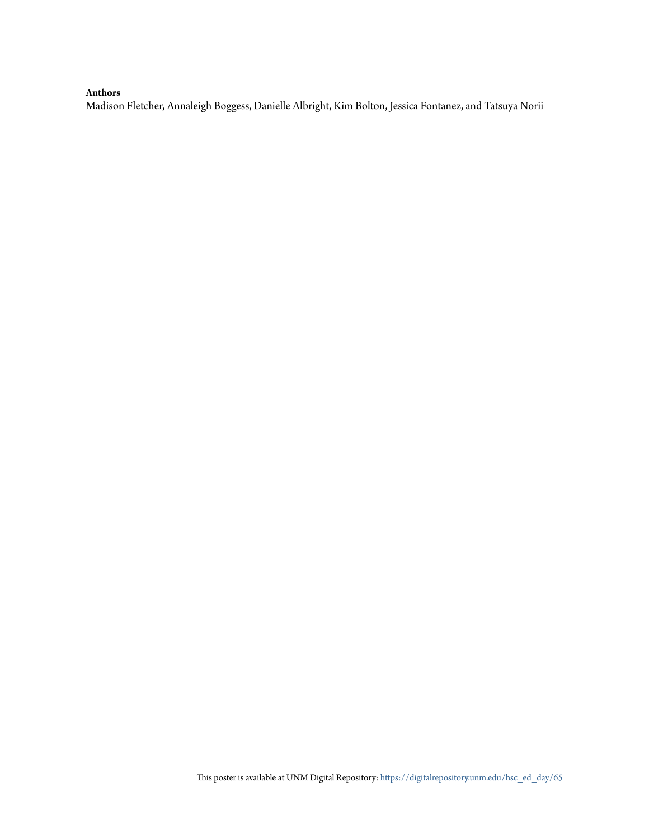### **Authors**

Madison Fletcher, Annaleigh Boggess, Danielle Albright, Kim Bolton, Jessica Fontanez, and Tatsuya Norii